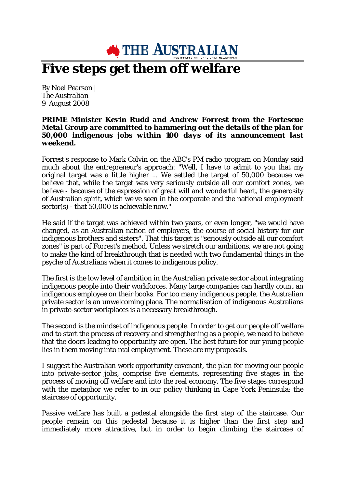## **N** THE AUSTRALIAN

## **Five steps get them off welfare**

By Noel Pearson | *[The Australian](http://www.theaustralian.news.com.au/)* 9 *August 2008*

## *PRIME Minister Kevin Rudd and Andrew Forrest from the Fortescue Metal Group are committed to hammering out the details of the plan for 50,000 indigenous jobs within 100 days of its announcement last weekend.*

Forrest's response to Mark Colvin on the ABC's PM radio program on Monday said much about the entrepreneur's approach: "Well, I have to admit to you that my original target was a little higher ... We settled the target of 50,000 because we believe that, while the target was very seriously outside all our comfort zones, we believe - because of the expression of great will and wonderful heart, the generosity of Australian spirit, which we've seen in the corporate and the national employment sector(s) - that 50,000 is achievable now."

He said if the target was achieved within two years, or even longer, "we would have changed, as an Australian nation of employers, the course of social history for our indigenous brothers and sisters". That this target is "seriously outside all our comfort zones" is part of Forrest's method. Unless we stretch our ambitions, we are not going to make the kind of breakthrough that is needed with two fundamental things in the psyche of Australians when it comes to indigenous policy.

The first is the low level of ambition in the Australian private sector about integrating indigenous people into their workforces. Many large companies can hardly count an indigenous employee on their books. For too many indigenous people, the Australian private sector is an unwelcoming place. The normalisation of indigenous Australians in private-sector workplaces is a necessary breakthrough.

The second is the mindset of indigenous people. In order to get our people off welfare and to start the process of recovery and strengthening as a people, we need to believe that the doors leading to opportunity are open. The best future for our young people lies in them moving into real employment. These are my proposals.

I suggest the Australian work opportunity covenant, the plan for moving our people into private-sector jobs, comprise five elements, representing five stages in the process of moving off welfare and into the real economy. The five stages correspond with the metaphor we refer to in our policy thinking in Cape York Peninsula: the staircase of opportunity.

Passive welfare has built a pedestal alongside the first step of the staircase. Our people remain on this pedestal because it is higher than the first step and immediately more attractive, but in order to begin climbing the staircase of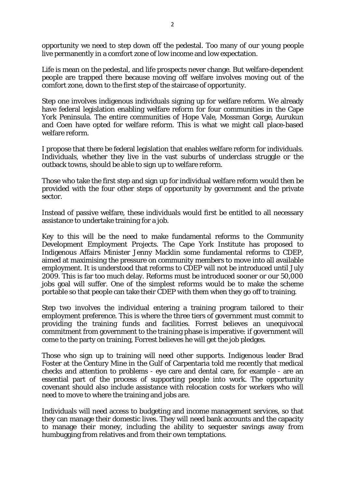opportunity we need to step down off the pedestal. Too many of our young people live permanently in a comfort zone of low income and low expectation.

Life is mean on the pedestal, and life prospects never change. But welfare-dependent people are trapped there because moving off welfare involves moving out of the comfort zone, down to the first step of the staircase of opportunity.

Step one involves indigenous individuals signing up for welfare reform. We already have federal legislation enabling welfare reform for four communities in the Cape York Peninsula. The entire communities of Hope Vale, Mossman Gorge, Aurukun and Coen have opted for welfare reform. This is what we might call place-based welfare reform.

I propose that there be federal legislation that enables welfare reform for individuals. Individuals, whether they live in the vast suburbs of underclass struggle or the outback towns, should be able to sign up to welfare reform.

Those who take the first step and sign up for individual welfare reform would then be provided with the four other steps of opportunity by government and the private sector.

Instead of passive welfare, these individuals would first be entitled to all necessary assistance to undertake training for a job.

Key to this will be the need to make fundamental reforms to the Community Development Employment Projects. The Cape York Institute has proposed to Indigenous Affairs Minister Jenny Macklin some fundamental reforms to CDEP, aimed at maximising the pressure on community members to move into all available employment. It is understood that reforms to CDEP will not be introduced until July 2009. This is far too much delay. Reforms must be introduced sooner or our 50,000 jobs goal will suffer. One of the simplest reforms would be to make the scheme portable so that people can take their CDEP with them when they go off to training.

Step two involves the individual entering a training program tailored to their employment preference. This is where the three tiers of government must commit to providing the training funds and facilities. Forrest believes an unequivocal commitment from government to the training phase is imperative: if government will come to the party on training, Forrest believes he will get the job pledges.

Those who sign up to training will need other supports. Indigenous leader Brad Foster at the Century Mine in the Gulf of Carpentaria told me recently that medical checks and attention to problems - eye care and dental care, for example - are an essential part of the process of supporting people into work. The opportunity covenant should also include assistance with relocation costs for workers who will need to move to where the training and jobs are.

Individuals will need access to budgeting and income management services, so that they can manage their domestic lives. They will need bank accounts and the capacity to manage their money, including the ability to sequester savings away from humbugging from relatives and from their own temptations.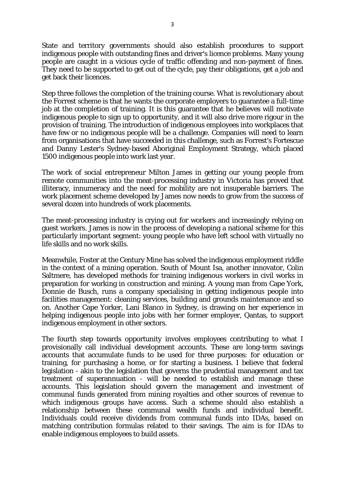State and territory governments should also establish procedures to support indigenous people with outstanding fines and driver's licence problems. Many young people are caught in a vicious cycle of traffic offending and non-payment of fines. They need to be supported to get out of the cycle, pay their obligations, get a job and get back their licences.

Step three follows the completion of the training course. What is revolutionary about the Forrest scheme is that he wants the corporate employers to guarantee a full-time job at the completion of training. It is this guarantee that he believes will motivate indigenous people to sign up to opportunity, and it will also drive more rigour in the provision of training. The introduction of indigenous employees into workplaces that have few or no indigenous people will be a challenge. Companies will need to learn from organisations that have succeeded in this challenge, such as Forrest's Fortescue and Danny Lester's Sydney-based Aboriginal Employment Strategy, which placed 1500 indigenous people into work last year.

The work of social entrepreneur Milton James in getting our young people from remote communities into the meat-processing industry in Victoria has proved that illiteracy, innumeracy and the need for mobility are not insuperable barriers. The work placement scheme developed by James now needs to grow from the success of several dozen into hundreds of work placements.

The meat-processing industry is crying out for workers and increasingly relying on guest workers. James is now in the process of developing a national scheme for this particularly important segment: young people who have left school with virtually no life skills and no work skills.

Meanwhile, Foster at the Century Mine has solved the indigenous employment riddle in the context of a mining operation. South of Mount Isa, another innovator, Colin Saltmere, has developed methods for training indigenous workers in civil works in preparation for working in construction and mining. A young man from Cape York, Donnie de Busch, runs a company specialising in getting indigenous people into facilities management: cleaning services, building and grounds maintenance and so on. Another Cape Yorker, Lani Blanco in Sydney, is drawing on her experience in helping indigenous people into jobs with her former employer, Qantas, to support indigenous employment in other sectors.

The fourth step towards opportunity involves employees contributing to what I provisionally call individual development accounts. These are long-term savings accounts that accumulate funds to be used for three purposes: for education or training, for purchasing a home, or for starting a business. I believe that federal legislation - akin to the legislation that governs the prudential management and tax treatment of superannuation - will be needed to establish and manage these accounts. This legislation should govern the management and investment of communal funds generated from mining royalties and other sources of revenue to which indigenous groups have access. Such a scheme should also establish a relationship between these communal wealth funds and individual benefit. Individuals could receive dividends from communal funds into IDAs, based on matching contribution formulas related to their savings. The aim is for IDAs to enable indigenous employees to build assets.